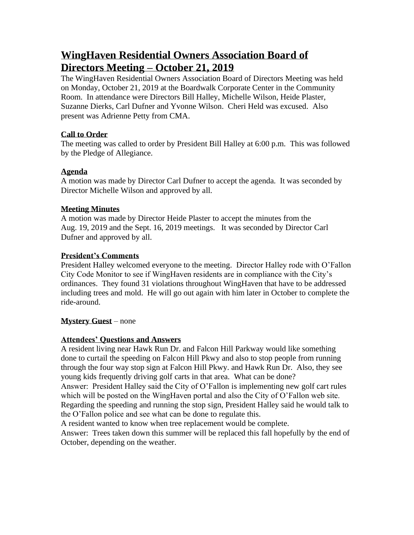# **WingHaven Residential Owners Association Board of Directors Meeting – October 21, 2019**

The WingHaven Residential Owners Association Board of Directors Meeting was held on Monday, October 21, 2019 at the Boardwalk Corporate Center in the Community Room. In attendance were Directors Bill Halley, Michelle Wilson, Heide Plaster, Suzanne Dierks, Carl Dufner and Yvonne Wilson. Cheri Held was excused. Also present was Adrienne Petty from CMA.

### **Call to Order**

The meeting was called to order by President Bill Halley at 6:00 p.m. This was followed by the Pledge of Allegiance.

### **Agenda**

A motion was made by Director Carl Dufner to accept the agenda. It was seconded by Director Michelle Wilson and approved by all.

## **Meeting Minutes**

A motion was made by Director Heide Plaster to accept the minutes from the Aug. 19, 2019 and the Sept. 16, 2019 meetings. It was seconded by Director Carl Dufner and approved by all.

## **President's Comments**

President Halley welcomed everyone to the meeting. Director Halley rode with O'Fallon City Code Monitor to see if WingHaven residents are in compliance with the City's ordinances. They found 31 violations throughout WingHaven that have to be addressed including trees and mold. He will go out again with him later in October to complete the ride-around.

# **Mystery Guest** – none

# **Attendees' Questions and Answers**

A resident living near Hawk Run Dr. and Falcon Hill Parkway would like something done to curtail the speeding on Falcon Hill Pkwy and also to stop people from running through the four way stop sign at Falcon Hill Pkwy. and Hawk Run Dr. Also, they see young kids frequently driving golf carts in that area. What can be done?

Answer: President Halley said the City of O'Fallon is implementing new golf cart rules which will be posted on the WingHaven portal and also the City of O'Fallon web site. Regarding the speeding and running the stop sign, President Halley said he would talk to the O'Fallon police and see what can be done to regulate this.

A resident wanted to know when tree replacement would be complete.

Answer: Trees taken down this summer will be replaced this fall hopefully by the end of October, depending on the weather.